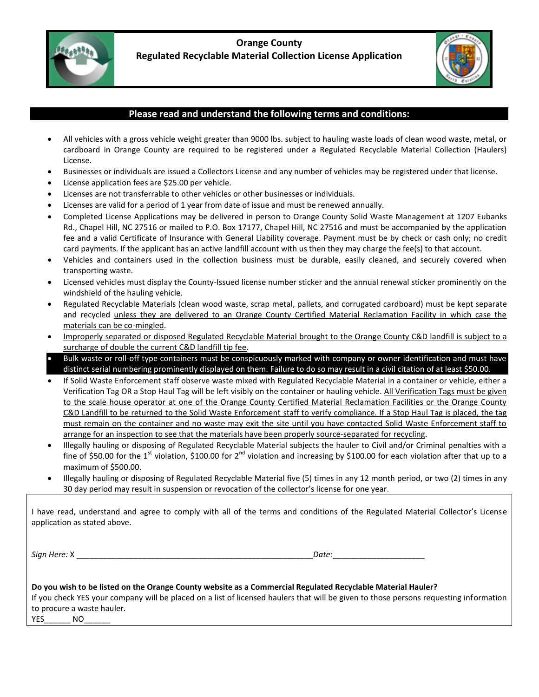

## **Orange County Regulated Recyclable Material Collection License Application**



## **Please read and understand the following terms and conditions:**

- All vehicles with a gross vehicle weight greater than 9000 lbs. subject to hauling waste loads of clean wood waste, metal, or cardboard in Orange County are required to be registered under a Regulated Recyclable Material Collection (Haulers) License.
- Businesses or individuals are issued a Collectors License and any number of vehicles may be registered under that license.
- License application fees are \$25.00 per vehicle.
- Licenses are not transferrable to other vehicles or other businesses or individuals.
- Licenses are valid for a period of 1 year from date of issue and must be renewed annually.
- Completed License Applications may be delivered in person to Orange County Solid Waste Management at 1207 Eubanks Rd., Chapel Hill, NC 27516 or mailed to P.O. Box 17177, Chapel Hill, NC 27516 and must be accompanied by the application fee and a valid Certificate of Insurance with General Liability coverage. Payment must be by check or cash only; no credit card payments. If the applicant has an active landfill account with us then they may charge the fee(s) to that account.
- Vehicles and containers used in the collection business must be durable, easily cleaned, and securely covered when transporting waste.
- Licensed vehicles must display the County-Issued license number sticker and the annual renewal sticker prominently on the windshield of the hauling vehicle.
- Regulated Recyclable Materials (clean wood waste, scrap metal, pallets, and corrugated cardboard) must be kept separate and recycled unless they are delivered to an Orange County Certified Material Reclamation Facility in which case the materials can be co-mingled.
- Improperly separated or disposed Regulated Recyclable Material brought to the Orange County C&D landfill is subject to a surcharge of double the current C&D landfill tip fee.
- Bulk waste or roll-off type containers must be conspicuously marked with company or owner identification and must have distinct serial numbering prominently displayed on them. Failure to do so may result in a civil citation of at least \$50.00.
- If Solid Waste Enforcement staff observe waste mixed with Regulated Recyclable Material in a container or vehicle, either a Verification Tag OR a Stop Haul Tag will be left visibly on the container or hauling vehicle. All Verification Tags must be given to the scale house operator at one of the Orange County Certified Material Reclamation Facilities or the Orange County C&D Landfill to be returned to the Solid Waste Enforcement staff to verify compliance. If a Stop Haul Tag is placed, the tag must remain on the container and no waste may exit the site until you have contacted Solid Waste Enforcement staff to arrange for an inspection to see that the materials have been properly source-separated for recycling.
- Illegally hauling or disposing of Regulated Recyclable Material subjects the hauler to Civil and/or Criminal penalties with a fine of \$50.00 for the 1<sup>st</sup> violation, \$100.00 for 2<sup>nd</sup> violation and increasing by \$100.00 for each violation after that up to a maximum of \$500.00.
- Illegally hauling or disposing of Regulated Recyclable Material five (5) times in any 12 month period, or two (2) times in any 30 day period may result in suspension or revocation of the collector's license for one year.

I have read, understand and agree to comply with all of the terms and conditions of the Regulated Material Collector's License application as stated above.

*Sign Here:* X \_\_\_\_\_\_\_\_\_\_\_\_\_\_\_\_\_\_\_\_\_\_\_\_\_\_\_\_\_\_\_\_\_\_\_\_\_\_\_\_\_\_\_\_\_\_\_\_\_\_\_\_\_\_*Date:*\_\_\_\_\_\_\_\_\_\_\_\_\_\_\_\_\_\_\_\_\_

|            | Do you wish to be listed on the Orange County website as a Commercial Regulated Recyclable Material Hauler?                           |
|------------|---------------------------------------------------------------------------------------------------------------------------------------|
|            | If you check YES your company will be placed on a list of licensed haulers that will be given to those persons requesting information |
|            | to procure a waste hauler.                                                                                                            |
| <b>YES</b> | NO                                                                                                                                    |